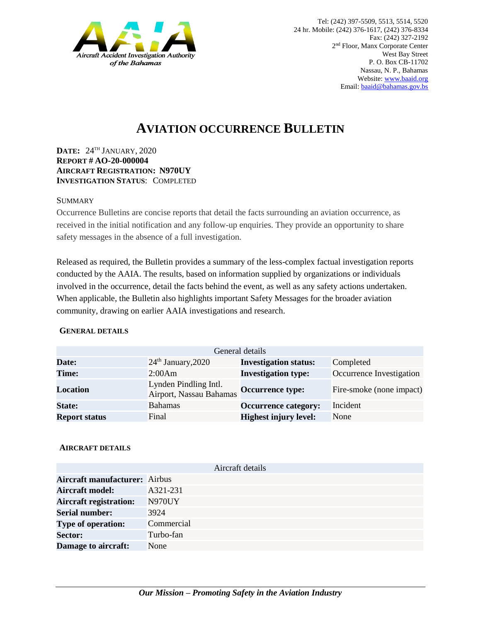

# **AVIATION OCCURRENCE BULLETIN**

**DATE:** 24TH JANUARY, 2020 **REPORT # AO-20-000004 AIRCRAFT REGISTRATION: N970UY INVESTIGATION STATUS**: COMPLETED

### **SUMMARY**

Occurrence Bulletins are concise reports that detail the facts surrounding an aviation occurrence, as received in the initial notification and any follow-up enquiries. They provide an opportunity to share safety messages in the absence of a full investigation*.*

Released as required, the Bulletin provides a summary of the less-complex factual investigation reports conducted by the AAIA. The results, based on information supplied by organizations or individuals involved in the occurrence, detail the facts behind the event, as well as any safety actions undertaken. When applicable, the Bulletin also highlights important Safety Messages for the broader aviation community, drawing on earlier AAIA investigations and research.

### **GENERAL DETAILS**

| General details      |                                                  |                              |                          |
|----------------------|--------------------------------------------------|------------------------------|--------------------------|
| Date:                | $24th$ January, 2020                             | <b>Investigation status:</b> | Completed                |
| Time:                | 2:00Am                                           | <b>Investigation type:</b>   | Occurrence Investigation |
| <b>Location</b>      | Lynden Pindling Intl.<br>Airport, Nassau Bahamas | <b>Occurrence type:</b>      | Fire-smoke (none impact) |
| <b>State:</b>        | <b>Bahamas</b>                                   | <b>Occurrence category:</b>  | Incident                 |
| <b>Report status</b> | Final                                            | <b>Highest injury level:</b> | None                     |

### **AIRCRAFT DETAILS**

|                                      | Aircraft details |
|--------------------------------------|------------------|
| <b>Aircraft manufacturer:</b> Airbus |                  |
| <b>Aircraft model:</b>               | A321-231         |
| <b>Aircraft registration:</b>        | N970UY           |
| <b>Serial number:</b>                | 3924             |
| <b>Type of operation:</b>            | Commercial       |
| <b>Sector:</b>                       | Turbo-fan        |
| Damage to aircraft:                  | None             |